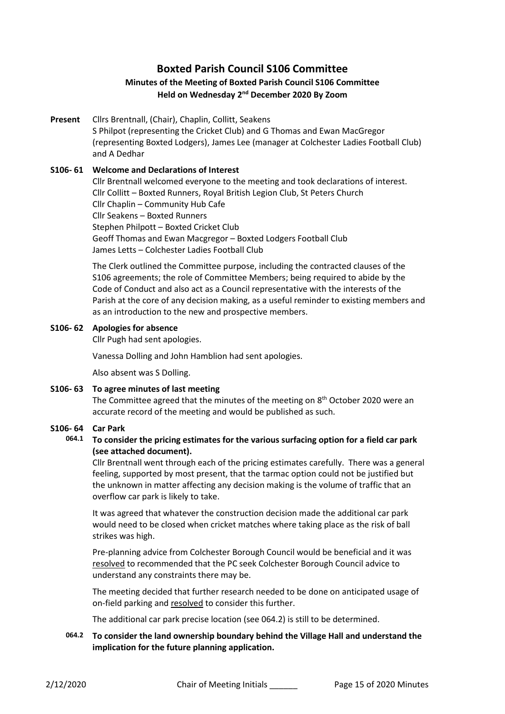# **Boxted Parish Council S106 Committee**

## **Minutes of the Meeting of Boxted Parish Council S106 Committee Held on Wednesday 2nd December 2020 By Zoom**

**Present** Cllrs Brentnall, (Chair), Chaplin, Collitt, Seakens S Philpot (representing the Cricket Club) and G Thomas and Ewan MacGregor (representing Boxted Lodgers), James Lee (manager at Colchester Ladies Football Club) and A Dedhar

## **S106- 61 Welcome and Declarations of Interest**

Cllr Brentnall welcomed everyone to the meeting and took declarations of interest. Cllr Collitt – Boxted Runners, Royal British Legion Club, St Peters Church Cllr Chaplin – Community Hub Cafe Cllr Seakens – Boxted Runners Stephen Philpott – Boxted Cricket Club Geoff Thomas and Ewan Macgregor – Boxted Lodgers Football Club James Letts – Colchester Ladies Football Club

The Clerk outlined the Committee purpose, including the contracted clauses of the S106 agreements; the role of Committee Members; being required to abide by the Code of Conduct and also act as a Council representative with the interests of the Parish at the core of any decision making, as a useful reminder to existing members and as an introduction to the new and prospective members.

## **S106- 62 Apologies for absence**

Cllr Pugh had sent apologies.

Vanessa Dolling and John Hamblion had sent apologies.

Also absent was S Dolling.

#### **S106- 63 To agree minutes of last meeting**

The Committee agreed that the minutes of the meeting on 8<sup>th</sup> October 2020 were an accurate record of the meeting and would be published as such.

#### **S106- 64 Car Park**

## **064.1 To consider the pricing estimates for the various surfacing option for a field car park (see attached document).**

Cllr Brentnall went through each of the pricing estimates carefully. There was a general feeling, supported by most present, that the tarmac option could not be justified but the unknown in matter affecting any decision making is the volume of traffic that an overflow car park is likely to take.

It was agreed that whatever the construction decision made the additional car park would need to be closed when cricket matches where taking place as the risk of ball strikes was high.

Pre-planning advice from Colchester Borough Council would be beneficial and it was resolved to recommended that the PC seek Colchester Borough Council advice to understand any constraints there may be.

The meeting decided that further research needed to be done on anticipated usage of on-field parking and resolved to consider this further.

The additional car park precise location (see 064.2) is still to be determined.

**064.2 To consider the land ownership boundary behind the Village Hall and understand the implication for the future planning application.**